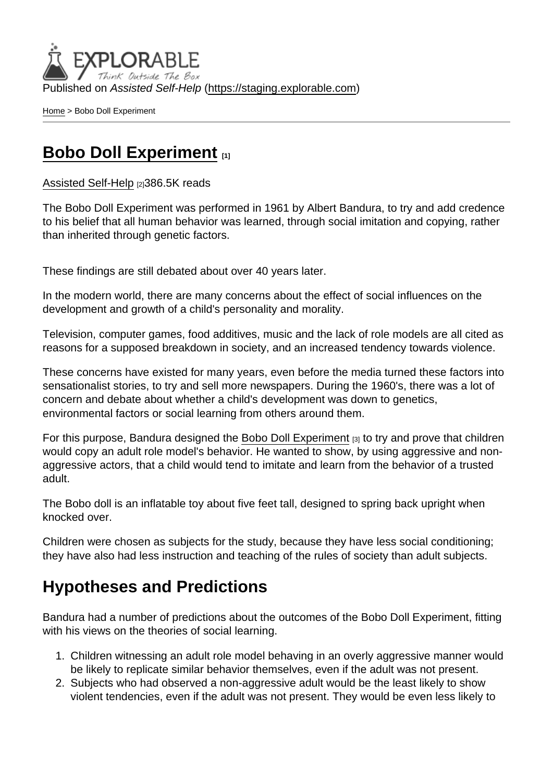Published on Assisted Self-Help [\(https://staging.explorable.com](https://staging.explorable.com))

[Home](https://staging.explorable.com/en) > Bobo Doll Experiment

### [Bobo Doll Experiment](https://staging.explorable.com/en/bobo-doll-experiment) [1]

[Assisted Self-Help](https://staging.explorable.com/en) [2]386.5K reads

The Bobo Doll Experiment was performed in 1961 by Albert Bandura, to try and add credence to his belief that all human behavior was learned, through social imitation and copying, rather than inherited through genetic factors.

These findings are still debated about over 40 years later.

In the modern world, there are many concerns about the effect of social influences on the development and growth of a child's personality and morality.

Television, computer games, food additives, music and the lack of role models are all cited as reasons for a supposed breakdown in society, and an increased tendency towards violence.

These concerns have existed for many years, even before the media turned these factors into sensationalist stories, to try and sell more newspapers. During the 1960's, there was a lot of concern and debate about whether a child's development was down to genetics, environmental factors or social learning from others around them.

For this purpose, Bandura designed the [Bobo Doll Experiment](http://en.wikipedia.org/wiki/Bobo_doll_experiment) [3] to try and prove that children would copy an adult role model's behavior. He wanted to show, by using aggressive and nonaggressive actors, that a child would tend to imitate and learn from the behavior of a trusted adult.

The Bobo doll is an inflatable toy about five feet tall, designed to spring back upright when knocked over.

Children were chosen as subjects for the study, because they have less social conditioning; they have also had less instruction and teaching of the rules of society than adult subjects.

## Hypotheses and Predictions

Bandura had a number of predictions about the outcomes of the Bobo Doll Experiment, fitting with his views on the theories of social learning.

- 1. Children witnessing an adult role model behaving in an overly aggressive manner would be likely to replicate similar behavior themselves, even if the adult was not present.
- 2. Subjects who had observed a non-aggressive adult would be the least likely to show violent tendencies, even if the adult was not present. They would be even less likely to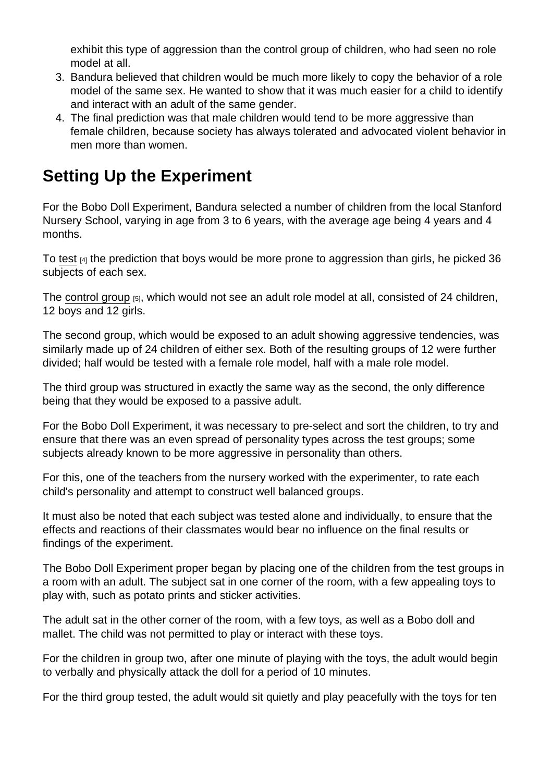exhibit this type of aggression than the control group of children, who had seen no role model at all.

- 3. Bandura believed that children would be much more likely to copy the behavior of a role model of the same sex. He wanted to show that it was much easier for a child to identify and interact with an adult of the same gender.
- 4. The final prediction was that male children would tend to be more aggressive than female children, because society has always tolerated and advocated violent behavior in men more than women.

# Setting Up the Experiment

For the Bobo Doll Experiment, Bandura selected a number of children from the local Stanford Nursery School, varying in age from 3 to 6 years, with the average age being 4 years and 4 months.

To [test](https://staging.explorable.com/hypothesis-testing) [4] the prediction that boys would be more prone to aggression than girls, he picked 36 subjects of each sex.

The [control group](https://staging.explorable.com/scientific-control-group) [5], which would not see an adult role model at all, consisted of 24 children, 12 boys and 12 girls.

The second group, which would be exposed to an adult showing aggressive tendencies, was similarly made up of 24 children of either sex. Both of the resulting groups of 12 were further divided; half would be tested with a female role model, half with a male role model.

The third group was structured in exactly the same way as the second, the only difference being that they would be exposed to a passive adult.

For the Bobo Doll Experiment, it was necessary to pre-select and sort the children, to try and ensure that there was an even spread of personality types across the test groups; some subjects already known to be more aggressive in personality than others.

For this, one of the teachers from the nursery worked with the experimenter, to rate each child's personality and attempt to construct well balanced groups.

It must also be noted that each subject was tested alone and individually, to ensure that the effects and reactions of their classmates would bear no influence on the final results or findings of the experiment.

The Bobo Doll Experiment proper began by placing one of the children from the test groups in a room with an adult. The subject sat in one corner of the room, with a few appealing toys to play with, such as potato prints and sticker activities.

The adult sat in the other corner of the room, with a few toys, as well as a Bobo doll and mallet. The child was not permitted to play or interact with these toys.

For the children in group two, after one minute of playing with the toys, the adult would begin to verbally and physically attack the doll for a period of 10 minutes.

For the third group tested, the adult would sit quietly and play peacefully with the toys for ten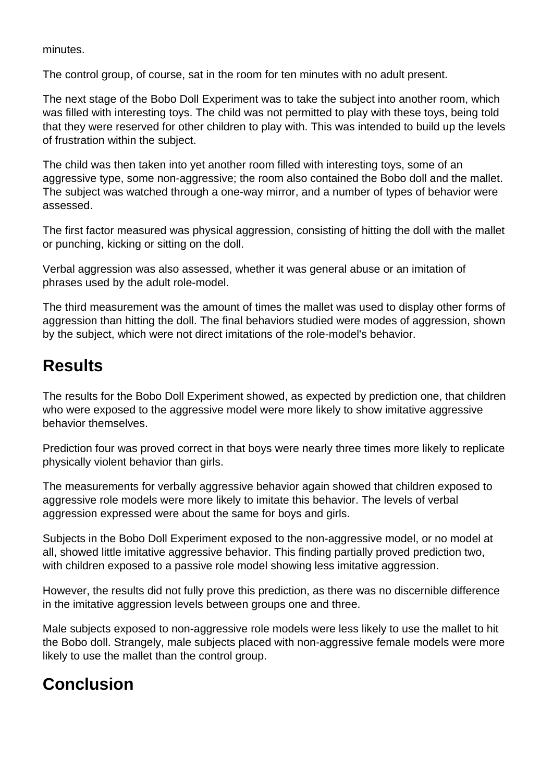minutes.

The control group, of course, sat in the room for ten minutes with no adult present.

The next stage of the Bobo Doll Experiment was to take the subject into another room, which was filled with interesting toys. The child was not permitted to play with these toys, being told that they were reserved for other children to play with. This was intended to build up the levels of frustration within the subject.

The child was then taken into yet another room filled with interesting toys, some of an aggressive type, some non-aggressive; the room also contained the Bobo doll and the mallet. The subject was watched through a one-way mirror, and a number of types of behavior were assessed.

The first factor measured was physical aggression, consisting of hitting the doll with the mallet or punching, kicking or sitting on the doll.

Verbal aggression was also assessed, whether it was general abuse or an imitation of phrases used by the adult role-model.

The third measurement was the amount of times the mallet was used to display other forms of aggression than hitting the doll. The final behaviors studied were modes of aggression, shown by the subject, which were not direct imitations of the role-model's behavior.

## **Results**

The results for the Bobo Doll Experiment showed, as expected by prediction one, that children who were exposed to the aggressive model were more likely to show imitative aggressive behavior themselves.

Prediction four was proved correct in that boys were nearly three times more likely to replicate physically violent behavior than girls.

The measurements for verbally aggressive behavior again showed that children exposed to aggressive role models were more likely to imitate this behavior. The levels of verbal aggression expressed were about the same for boys and girls.

Subjects in the Bobo Doll Experiment exposed to the non-aggressive model, or no model at all, showed little imitative aggressive behavior. This finding partially proved prediction two, with children exposed to a passive role model showing less imitative aggression.

However, the results did not fully prove this prediction, as there was no discernible difference in the imitative aggression levels between groups one and three.

Male subjects exposed to non-aggressive role models were less likely to use the mallet to hit the Bobo doll. Strangely, male subjects placed with non-aggressive female models were more likely to use the mallet than the control group.

# **Conclusion**